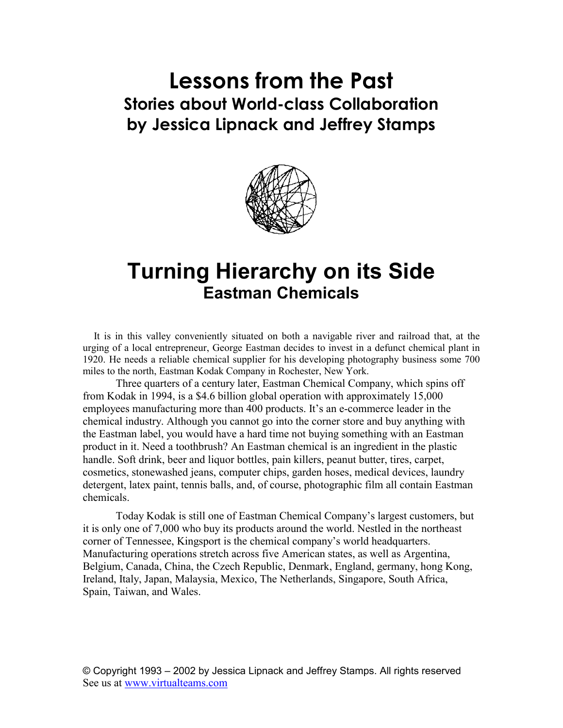# **Lessons from the Past Stories about World-class Collaboration by Jessica Lipnack and Jeffrey Stamps**



## **Turning Hierarchy on its Side Eastman Chemicals**

It is in this valley conveniently situated on both a navigable river and railroad that, at the urging of a local entrepreneur, George Eastman decides to invest in a defunct chemical plant in 1920. He needs a reliable chemical supplier for his developing photography business some 700 miles to the north, Eastman Kodak Company in Rochester, New York.

Three quarters of a century later, Eastman Chemical Company, which spins off from Kodak in 1994, is a \$4.6 billion global operation with approximately 15,000 employees manufacturing more than 400 products. It's an e-commerce leader in the chemical industry. Although you cannot go into the corner store and buy anything with the Eastman label, you would have a hard time not buying something with an Eastman product in it. Need a toothbrush? An Eastman chemical is an ingredient in the plastic handle. Soft drink, beer and liquor bottles, pain killers, peanut butter, tires, carpet, cosmetics, stonewashed jeans, computer chips, garden hoses, medical devices, laundry detergent, latex paint, tennis balls, and, of course, photographic film all contain Eastman chemicals.

Today Kodak is still one of Eastman Chemical Company's largest customers, but it is only one of 7,000 who buy its products around the world. Nestled in the northeast corner of Tennessee, Kingsport is the chemical company's world headquarters. Manufacturing operations stretch across five American states, as well as Argentina, Belgium, Canada, China, the Czech Republic, Denmark, England, germany, hong Kong, Ireland, Italy, Japan, Malaysia, Mexico, The Netherlands, Singapore, South Africa, Spain, Taiwan, and Wales.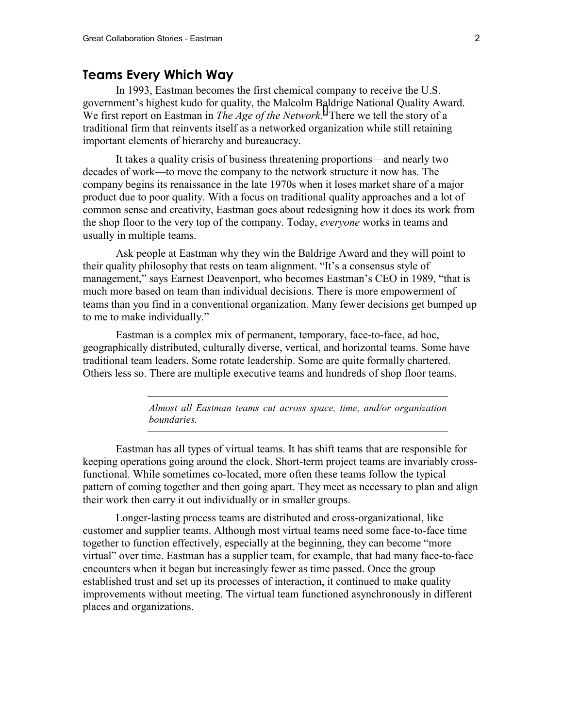### **Teams Every Which Way**

In 1993, Eastman becomes the first chemical company to receive the U.S. government's highest kudo for quality, the Malcolm Baldrige National Quality Award. We first report on Eastman in *The Age of the Network*.<sup>*i*</sup> There we tell the story of a traditional firm that reinvents itself as a networked organization while still retaining important elements of hierarchy and bureaucracy.

It takes a quality crisis of business threatening proportions—and nearly two decades of work—to move the company to the network structure it now has. The company begins its renaissance in the late 1970s when it loses market share of a major product due to poor quality. With a focus on traditional quality approaches and a lot of common sense and creativity, Eastman goes about redesigning how it does its work from the shop floor to the very top of the company. Today, *everyone* works in teams and usually in multiple teams.

Ask people at Eastman why they win the Baldrige Award and they will point to their quality philosophy that rests on team alignment. "It's a consensus style of management," says Earnest Deavenport, who becomes Eastman's CEO in 1989, "that is much more based on team than individual decisions. There is more empowerment of teams than you find in a conventional organization. Many fewer decisions get bumped up to me to make individually."

Eastman is a complex mix of permanent, temporary, face-to-face, ad hoc, geographically distributed, culturally diverse, vertical, and horizontal teams. Some have traditional team leaders. Some rotate leadership. Some are quite formally chartered. Others less so. There are multiple executive teams and hundreds of shop floor teams.

> *Almost all Eastman teams cut across space, time, and/or organization boundaries.*

Eastman has all types of virtual teams. It has shift teams that are responsible for keeping operations going around the clock. Short-term project teams are invariably crossfunctional. While sometimes co-located, more often these teams follow the typical pattern of coming together and then going apart. They meet as necessary to plan and align their work then carry it out individually or in smaller groups.

Longer-lasting process teams are distributed and cross-organizational, like customer and supplier teams. Although most virtual teams need some face-to-face time together to function effectively, especially at the beginning, they can become "more virtual" over time. Eastman has a supplier team, for example, that had many face-to-face encounters when it began but increasingly fewer as time passed. Once the group established trust and set up its processes of interaction, it continued to make quality improvements without meeting. The virtual team functioned asynchronously in different places and organizations.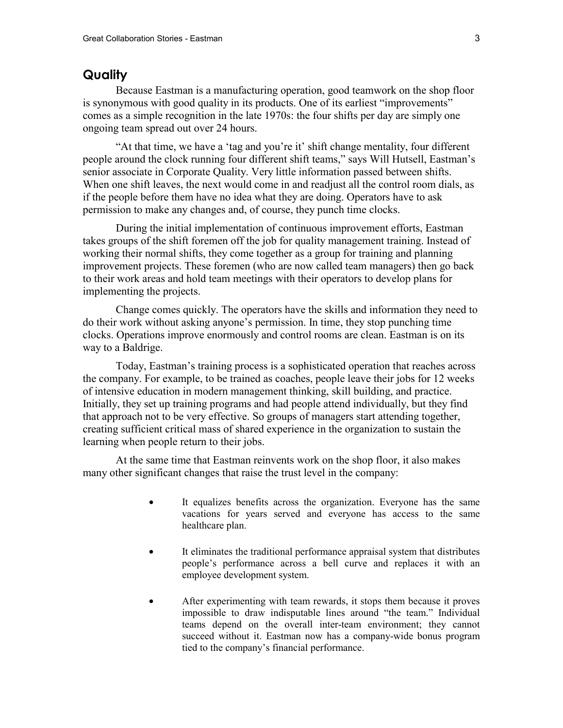#### **Quality**

Because Eastman is a manufacturing operation, good teamwork on the shop floor is synonymous with good quality in its products. One of its earliest "improvements" comes as a simple recognition in the late 1970s: the four shifts per day are simply one ongoing team spread out over 24 hours.

"At that time, we have a 'tag and you're it' shift change mentality, four different people around the clock running four different shift teams," says Will Hutsell, Eastman's senior associate in Corporate Quality. Very little information passed between shifts. When one shift leaves, the next would come in and readjust all the control room dials, as if the people before them have no idea what they are doing. Operators have to ask permission to make any changes and, of course, they punch time clocks.

During the initial implementation of continuous improvement efforts, Eastman takes groups of the shift foremen off the job for quality management training. Instead of working their normal shifts, they come together as a group for training and planning improvement projects. These foremen (who are now called team managers) then go back to their work areas and hold team meetings with their operators to develop plans for implementing the projects.

Change comes quickly. The operators have the skills and information they need to do their work without asking anyone's permission. In time, they stop punching time clocks. Operations improve enormously and control rooms are clean. Eastman is on its way to a Baldrige.

Today, Eastman's training process is a sophisticated operation that reaches across the company. For example, to be trained as coaches, people leave their jobs for 12 weeks of intensive education in modern management thinking, skill building, and practice. Initially, they set up training programs and had people attend individually, but they find that approach not to be very effective. So groups of managers start attending together, creating sufficient critical mass of shared experience in the organization to sustain the learning when people return to their jobs.

At the same time that Eastman reinvents work on the shop floor, it also makes many other significant changes that raise the trust level in the company:

- It equalizes benefits across the organization. Everyone has the same vacations for years served and everyone has access to the same healthcare plan.
- It eliminates the traditional performance appraisal system that distributes people's performance across a bell curve and replaces it with an employee development system.
- After experimenting with team rewards, it stops them because it proves impossible to draw indisputable lines around "the team." Individual teams depend on the overall inter-team environment; they cannot succeed without it. Eastman now has a company-wide bonus program tied to the company's financial performance.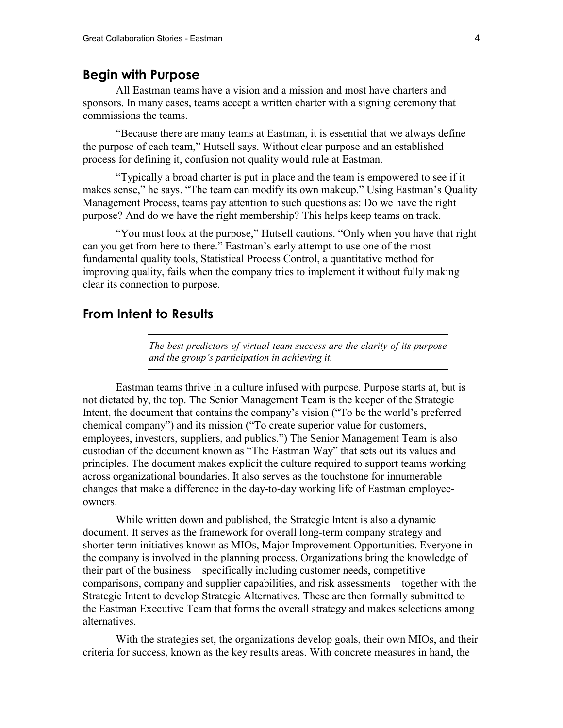## **Begin with Purpose**

All Eastman teams have a vision and a mission and most have charters and sponsors. In many cases, teams accept a written charter with a signing ceremony that commissions the teams.

"Because there are many teams at Eastman, it is essential that we always define the purpose of each team," Hutsell says. Without clear purpose and an established process for defining it, confusion not quality would rule at Eastman.

"Typically a broad charter is put in place and the team is empowered to see if it makes sense," he says. "The team can modify its own makeup." Using Eastman's Quality Management Process, teams pay attention to such questions as: Do we have the right purpose? And do we have the right membership? This helps keep teams on track.

"You must look at the purpose," Hutsell cautions. "Only when you have that right can you get from here to there." Eastman's early attempt to use one of the most fundamental quality tools, Statistical Process Control, a quantitative method for improving quality, fails when the company tries to implement it without fully making clear its connection to purpose.

## **From Intent to Results**

*The best predictors of virtual team success are the clarity of its purpose and the group's participation in achieving it.* 

Eastman teams thrive in a culture infused with purpose. Purpose starts at, but is not dictated by, the top. The Senior Management Team is the keeper of the Strategic Intent, the document that contains the company's vision ("To be the world's preferred chemical company") and its mission ("To create superior value for customers, employees, investors, suppliers, and publics.") The Senior Management Team is also custodian of the document known as "The Eastman Way" that sets out its values and principles. The document makes explicit the culture required to support teams working across organizational boundaries. It also serves as the touchstone for innumerable changes that make a difference in the day-to-day working life of Eastman employeeowners.

While written down and published, the Strategic Intent is also a dynamic document. It serves as the framework for overall long-term company strategy and shorter-term initiatives known as MIOs, Major Improvement Opportunities. Everyone in the company is involved in the planning process. Organizations bring the knowledge of their part of the business—specifically including customer needs, competitive comparisons, company and supplier capabilities, and risk assessments—together with the Strategic Intent to develop Strategic Alternatives. These are then formally submitted to the Eastman Executive Team that forms the overall strategy and makes selections among alternatives.

With the strategies set, the organizations develop goals, their own MIOs, and their criteria for success, known as the key results areas. With concrete measures in hand, the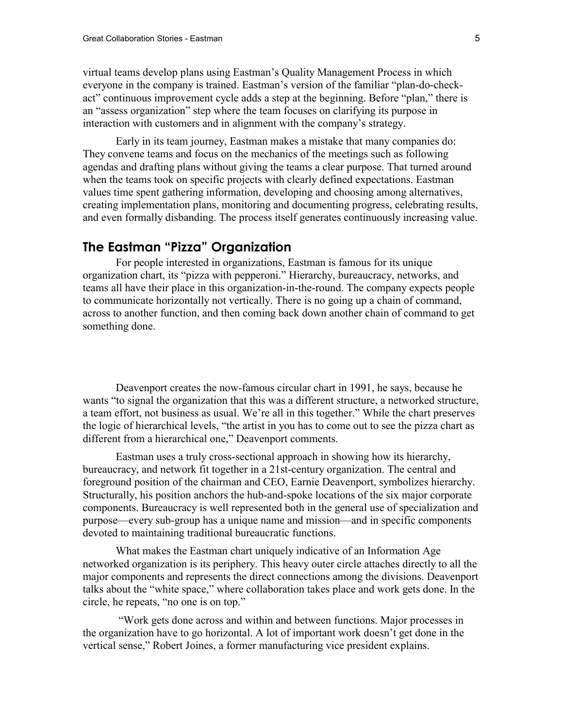virtual teams develop plans using Eastman's Quality Management Process in which everyone in the company is trained. Eastman's version of the familiar "plan-do-checkact" continuous improvement cycle adds a step at the beginning. Before "plan," there is an "assess organization" step where the team focuses on clarifying its purpose in interaction with customers and in alignment with the company's strategy.

Early in its team journey, Eastman makes a mistake that many companies do: They convene teams and focus on the mechanics of the meetings such as following agendas and drafting plans without giving the teams a clear purpose. That turned around when the teams took on specific projects with clearly defined expectations. Eastman values time spent gathering information, developing and choosing among alternatives, creating implementation plans, monitoring and documenting progress, celebrating results, and even formally disbanding. The process itself generates continuously increasing value.

## **The Eastman "Pizza" Organization**

For people interested in organizations, Eastman is famous for its unique organization chart, its "pizza with pepperoni." Hierarchy, bureaucracy, networks, and teams all have their place in this organization-in-the-round. The company expects people to communicate horizontally not vertically. There is no going up a chain of command, across to another function, and then coming back down another chain of command to get something done.

Deavenport creates the now-famous circular chart in 1991, he says, because he wants "to signal the organization that this was a different structure, a networked structure, a team effort, not business as usual. We're all in this together." While the chart preserves the logic of hierarchical levels, "the artist in you has to come out to see the pizza chart as different from a hierarchical one," Deavenport comments.

Eastman uses a truly cross-sectional approach in showing how its hierarchy, bureaucracy, and network fit together in a 21st-century organization. The central and foreground position of the chairman and CEO, Earnie Deavenport, symbolizes hierarchy. Structurally, his position anchors the hub-and-spoke locations of the six major corporate components. Bureaucracy is well represented both in the general use of specialization and purpose—every sub-group has a unique name and mission—and in specific components devoted to maintaining traditional bureaucratic functions.

What makes the Eastman chart uniquely indicative of an Information Age networked organization is its periphery. This heavy outer circle attaches directly to all the major components and represents the direct connections among the divisions. Deavenport talks about the "white space," where collaboration takes place and work gets done. In the circle, he repeats, "no one is on top."

 "Work gets done across and within and between functions. Major processes in the organization have to go horizontal. A lot of important work doesn't get done in the vertical sense," Robert Joines, a former manufacturing vice president explains.